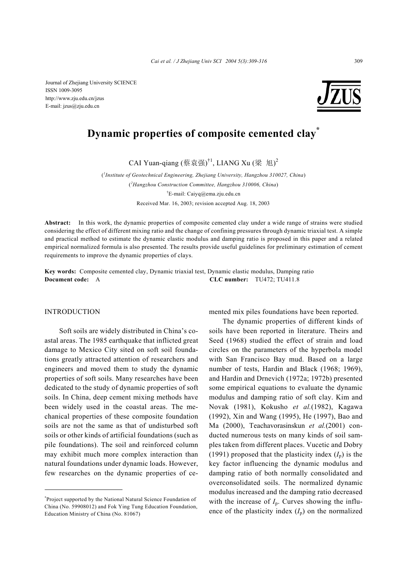Journal of Zhejiang University SCIENCE ISSN 1009-3095 http://www.zju.edu.cn/jzus E-mail: jzus@zju.edu.cn



# **Dynamic properties of composite cemented clay\***

CAI Yuan-qiang (蔡袁强)<sup>†1</sup>, LIANG Xu (梁 旭)<sup>2</sup>

( *1 Institute of Geotechnical Engineering, Zhejiang University, Hangzhou 310027, China*) ( *2 Hangzhou Construction Committee, Hangzhou 310006, China*) † E-mail: Caiyq@ema.zju.edu.cn Received Mar. 16, 2003; revision accepted Aug. 18, 2003

**Abstract:** In this work, the dynamic properties of composite cemented clay under a wide range of strains were studied considering the effect of different mixing ratio and the change of confining pressures through dynamic triaxial test. A simple and practical method to estimate the dynamic elastic modulus and damping ratio is proposed in this paper and a related empirical normalized formula is also presented. The results provide useful guidelines for preliminary estimation of cement requirements to improve the dynamic properties of clays.

**Key words:** Composite cemented clay, Dynamic triaxial test, Dynamic elastic modulus, Damping ratio **Document code:** A **CLC number:** TU472; TU411.8

## INTRODUCTION

Soft soils are widely distributed in China's coastal areas. The 1985 earthquake that inflicted great damage to Mexico City sited on soft soil foundations greatly attracted attention of researchers and engineers and moved them to study the dynamic properties of soft soils. Many researches have been dedicated to the study of dynamic properties of soft soils. In China, deep cement mixing methods have been widely used in the coastal areas. The mechanical properties of these composite foundation soils are not the same as that of undisturbed soft soils or other kinds of artificial foundations (such as pile foundations). The soil and reinforced column may exhibit much more complex interaction than natural foundations under dynamic loads. However, few researches on the dynamic properties of ce-

\* Project supported by the National Natural Science Foundation of China (No. 59908012) and Fok Ying Tung Education Foundation, Education Ministry of China (No. 81067)

mented mix piles foundations have been reported.

The dynamic properties of different kinds of soils have been reported in literature. Theirs and Seed (1968) studied the effect of strain and load circles on the parameters of the hyperbola model with San Francisco Bay mud. Based on a large number of tests, Hardin and Black (1968; 1969), and Hardin and Drnevich (1972a; 1972b) presented some empirical equations to evaluate the dynamic modulus and damping ratio of soft clay. Kim and Novak (1981), Kokusho *et al.*(1982), Kagawa (1992), Xin and Wang (1995), He (1997), Bao and Ma (2000), Teachavorasinskun *et al.*(2001) conducted numerous tests on many kinds of soil samples taken from different places. Vucetic and Dobry (1991) proposed that the plasticity index  $(I_n)$  is the key factor influencing the dynamic modulus and damping ratio of both normally consolidated and overconsolidated soils. The normalized dynamic modulus increased and the damping ratio decreased with the increase of  $I_p$ . Curves showing the influence of the plasticity index  $(I_p)$  on the normalized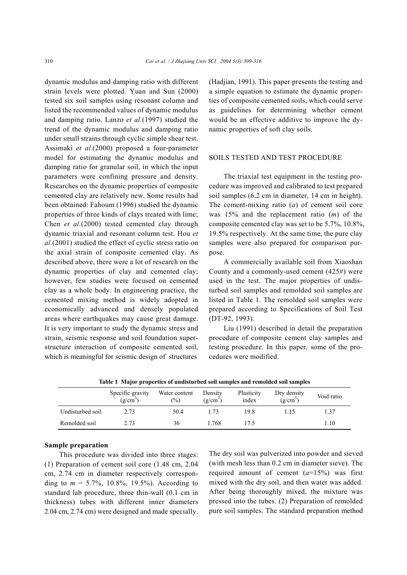dynamic modulus and damping ratio with different strain levels were plotted. Yuan and Sun (2000) tested six soil samples using resonant column and listed the recommended values of dynamic modulus and damping ratio. Lanzo *et al.*(1997) studied the trend of the dynamic modulus and damping ratio under small strains through cyclic simple shear test. Assimaki *et al.*(2000) proposed a four-parameter model for estimating the dynamic modulus and damping ratio for granular soil, in which the input parameters were confining pressure and density. Researches on the dynamic properties of composite cemented clay are relatively new. Some results had been obtained: Fahoum (1996) studied the dynamic properties of three kinds of clays treated with lime; Chen *et al.*(2000) tested cemented clay through dynamic triaxial and resonant column test. Hou *et al.*(2001) studied the effect of cyclic stress ratio on the axial strain of composite cemented clay. As described above, there were a lot of research on the dynamic properties of clay and cemented clay; however, few studies were focused on cemented clay as a whole body. In engineering practice, the cemented mixing method is widely adopted in economically advanced and densely populated areas where earthquakes may cause great damage. It is very important to study the dynamic stress and strain, seismic response and soil foundation superstructure interaction of composite cemented soil, which is meaningful for seismic design of structures

(Hadjian, 1991). This paper presents the testing and a simple equation to estimate the dynamic properties of composite cemented soils, which could serve as guidelines for determining whether cement would be an effective additive to improve the dynamic properties of soft clay soils.

## SOILS TESTED AND TEST PROCEDURE

The triaxial test equipment in the testing procedure was improved and calibrated to test prepared soil samples (6.2 cm in diameter, 14 cm in height). The cement-mixing ratio (*a*) of cement soil core was 15% and the replacement ratio (*m*) of the composite cemented clay was set to be 5.7%, 10.8%, 19.5% respectively. At the same time, the pure clay samples were also prepared for comparison purpose.

A commercially available soil from Xiaoshan County and a commonly-used cement (425#) were used in the test. The major properties of undisturbed soil samples and remolded soil samples are listed in Table 1. The remolded soil samples were prepared according to Specifications of Soil Test (DT-92, 1993).

Liu (1991) described in detail the preparation procedure of composite cement clay samples and testing procedure. In this paper, some of the procedures were modified.

|                  | THOICE I THING PLODGE MOD OF MINIONEL DEM DOM DIMILIPIED WILD LEMONDER DOM DIMILIPIED<br>Specific gravity<br>$(g/cm^3)$ | Water content<br>(%) | Density<br>$(g/cm^3)$ | Plasticity<br>index | Dry density<br>$(g/cm^3)$ | Void ratio |
|------------------|-------------------------------------------------------------------------------------------------------------------------|----------------------|-----------------------|---------------------|---------------------------|------------|
| Undisturbed soil | 2.73                                                                                                                    | 50.4                 | l 73                  | 19.8                | 15                        | 1.37       |
| Remolded soil    | 2.73                                                                                                                    | 36                   | 1.768                 | 175                 |                           | .10        |

**Table 1 Major properties of undisturbed soil samples and remolded soil samples**

## **Sample preparation**

This procedure was divided into three stages: (1) Preparation of cement soil core (1.48 cm, 2.04 cm, 2.74 cm in diameter respectively corresponding to  $m = 5.7\%$ , 10.8%, 19.5%). According to standard lab procedure, three thin-wall (0.1 cm in thickness) tubes with different inner diameters 2.04 cm, 2.74 cm) were designed and made specially.

The dry soil was pulverized into powder and sieved (with mesh less than 0.2 cm in diameter sieve). The required amount of cement  $(a=15%)$  was first mixed with the dry soil, and then water was added. After being thoroughly mixed, the mixture was pressed into the tubes. (2) Preparation of remolded pure soil samples. The standard preparation method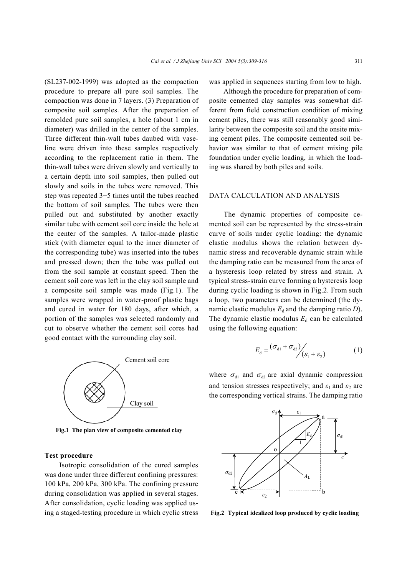(SL237-002-1999) was adopted as the compaction procedure to prepare all pure soil samples. The compaction was done in 7 layers. (3) Preparation of composite soil samples. After the preparation of remolded pure soil samples, a hole (about 1 cm in diameter) was drilled in the center of the samples. Three different thin-wall tubes daubed with vaseline were driven into these samples respectively according to the replacement ratio in them. The thin-wall tubes were driven slowly and vertically to a certain depth into soil samples, then pulled out slowly and soils in the tubes were removed. This step was repeated 3−5 times until the tubes reached the bottom of soil samples. The tubes were then pulled out and substituted by another exactly similar tube with cement soil core inside the hole at the center of the samples. A tailor-made plastic stick (with diameter equal to the inner diameter of the corresponding tube) was inserted into the tubes and pressed down; then the tube was pulled out from the soil sample at constant speed. Then the cement soil core was left in the clay soil sample and a composite soil sample was made (Fig.1). The samples were wrapped in water-proof plastic bags and cured in water for 180 days, after which, a portion of the samples was selected randomly and cut to observe whether the cement soil cores had good contact with the surrounding clay soil.



**Fig.1 The plan view of composite cemented clay** 

#### **Test procedure**

Isotropic consolidation of the cured samples was done under three different confining pressures: 100 kPa, 200 kPa, 300 kPa. The confining pressure during consolidation was applied in several stages. After consolidation, cyclic loading was applied using a staged-testing procedure in which cyclic stress was applied in sequences starting from low to high.

Although the procedure for preparation of composite cemented clay samples was somewhat different from field construction condition of mixing cement piles, there was still reasonably good similarity between the composite soil and the onsite mixing cement piles. The composite cemented soil behavior was similar to that of cement mixing pile foundation under cyclic loading, in which the loading was shared by both piles and soils.

#### DATA CALCULATION AND ANALYSIS

The dynamic properties of composite cemented soil can be represented by the stress-strain curve of soils under cyclic loading: the dynamic elastic modulus shows the relation between dynamic stress and recoverable dynamic strain while the damping ratio can be measured from the area of a hysteresis loop related by stress and strain. A typical stress-strain curve forming a hysteresis loop during cyclic loading is shown in Fig.2. From such a loop, two parameters can be determined (the dynamic elastic modulus  $E_d$  and the damping ratio  $D$ ). The dynamic elastic modulus  $E_d$  can be calculated using the following equation:

$$
E_{\rm d} = \frac{(\sigma_{\rm d1} + \sigma_{\rm d2})}{\epsilon_{\rm f} + \epsilon_2} \tag{1}
$$

where  $\sigma_{d1}$  and  $\sigma_{d2}$  are axial dynamic compression and tension stresses respectively; and  $\varepsilon_1$  and  $\varepsilon_2$  are the corresponding vertical strains. The damping ratio



**Fig.2 Typical idealized loop produced by cyclic loading**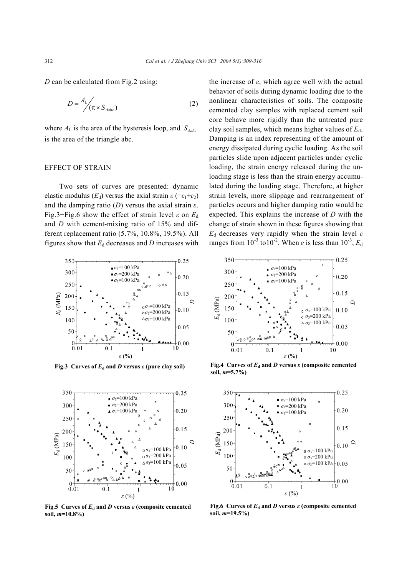*D* can be calculated from Fig.2 using:

$$
D = \frac{A_{\rm L}}{\pi \times S_{\rm Aabc}} \tag{2}
$$

where  $A_L$  is the area of the hysteresis loop, and  $S_{\mu abc}$ is the area of the triangle abc.

## EFFECT OF STRAIN

Two sets of curves are presented: dynamic elastic modulus ( $E_d$ ) versus the axial strain  $\varepsilon$  (= $\varepsilon_1+\varepsilon_2$ ) and the damping ratio (*D*) versus the axial strain *ε*. Fig.3−Fig.6 show the effect of strain level *ε* on *E*<sup>d</sup> and *D* with cement-mixing ratio of 15% and different replacement ratio (5.7%, 10.8%, 19.5%). All figures show that  $E_d$  decreases and *D* increases with



**Fig.3** Curves of  $E_d$  and *D* versus  $\varepsilon$  (pure clay soil)



**Fig.5** Curves of  $E_d$  and *D* versus  $\varepsilon$  (composite cemented **soil,** *m***=10.8%)**

the increase of  $ε$ , which agree well with the actual behavior of soils during dynamic loading due to the nonlinear characteristics of soils. The composite cemented clay samples with replaced cement soil core behave more rigidly than the untreated pure clay soil samples, which means higher values of  $E_d$ . Damping is an index representing of the amount of energy dissipated during cyclic loading. As the soil particles slide upon adjacent particles under cyclic loading, the strain energy released during the unloading stage is less than the strain energy accumulated during the loading stage. Therefore, at higher strain levels, more slippage and rearrangement of particles occurs and higher damping ratio would be expected. This explains the increase of *D* with the change of strain shown in these figures showing that *E*<sub>d</sub> decreases very rapidly when the strain level  $ε$ ranges from  $10^{-3}$  to  $10^{-2}$ . When *ε* is less than  $10^{-3}$ ,  $E_d$ 



**Fig.4** Curves of  $E_d$  and *D* versus  $\varepsilon$  (composite cemented **soil,** *m***=5.7%)**



**Fig.6 Curves of**  $E_d$  **and** *D* **versus**  $\varepsilon$  **(composite cemented soil,** *m***=19.5%)**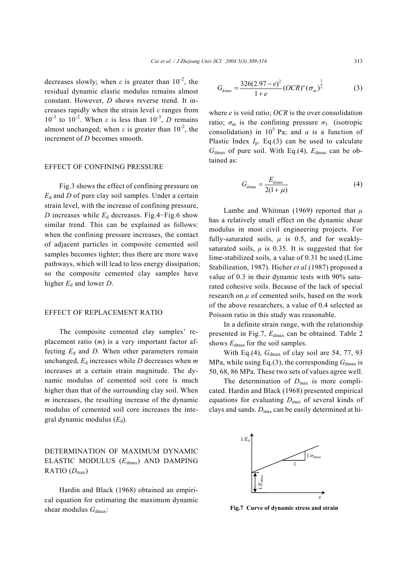decreases slowly; when  $\varepsilon$  is greater than  $10^{-2}$ , the residual dynamic elastic modulus remains almost constant. However, *D* shows reverse trend. It increases rapidly when the strain level *ε* ranges from  $10^{-3}$  to  $10^{-2}$ . When *ε* is less than  $10^{-3}$ , *D* remains almost unchanged; when  $\varepsilon$  is greater than  $10^{-2}$ , the increment of *D* becomes smooth.

## EFFECT OF CONFINING PRESSURE

Fig.3 shows the effect of confining pressure on  $E_d$  and *D* of pure clay soil samples. Under a certain strain level, with the increase of confining pressure, *D* increases while  $E_d$  decreases. Fig.4–Fig.6 show similar trend. This can be explained as follows: when the confining pressure increases, the contact of adjacent particles in composite cemented soil samples becomes tighter; thus there are more wave pathways, which will lead to less energy dissipation; so the composite cemented clay samples have higher  $E_d$  and lower *D*.

## EFFECT OF REPLACEMENT RATIO

The composite cemented clay samples' replacement ratio (*m*) is a very important factor affecting  $E_d$  and *D*. When other parameters remain unchanged,  $E_d$  increases while  $D$  decreases when  $m$ increases at a certain strain magnitude. The dynamic modulus of cemented soil core is much higher than that of the surrounding clay soil. When *m* increases, the resulting increase of the dynamic modulus of cemented soil core increases the integral dynamic modulus  $(E_d)$ .

## DETERMINATION OF MAXIMUM DYNAMIC ELASTIC MODULUS (*E*dmax) AND DAMPING RATIO (*D*max)

Hardin and Black (1968) obtained an empirical equation for estimating the maximum dynamic shear modulus  $G_{\text{dmax}}$ :

$$
G_{\text{dmax}} = \frac{326(2.97 - e)^2}{1 + e} (OCR)^a (\sigma_m)^{\frac{1}{2}}
$$
 (3)

where *e* is void ratio; *OCR* is the over consolidation ratio;  $\sigma_{\rm m}$  is the confining pressure  $\sigma_3$  (isotropic consolidation) in  $10^5$  Pa; and *a* is a function of Plastic Index  $I_p$ . Eq.(3) can be used to calculate  $G_{\text{dmax}}$  of pure soil. With Eq.(4),  $E_{\text{dmax}}$  can be obtained as:

$$
G_{\text{dmax}} = \frac{E_{\text{dmax}}}{2(1+\mu)}\tag{4}
$$

Lambe and Whitman (1969) reported that *µ* has a relatively small effect on the dynamic shear modulus in most civil engineering projects. For fully-saturated soils,  $\mu$  is 0.5, and for weaklysaturated soils,  $\mu$  is 0.35. It is suggested that for lime-stabilized soils, a value of 0.31 be used (Lime Stabilization, 1987). Hicher *et al.*(1987) proposed a value of 0.3 in their dynamic tests with 90% saturated cohesive soils. Because of the lack of special research on  $\mu$  of cemented soils, based on the work of the above researchers, a value of 0.4 selected as Poisson ratio in this study was reasonable.

In a definite strain range, with the relationship presented in Fig.7,  $E_{dmax}$  can be obtained. Table 2 shows  $E_{\text{dmax}}$  for the soil samples.

With Eq.(4),  $G<sub>dmax</sub>$  of clay soil are 54, 77, 93 MPa, while using Eq.(3), the corresponding  $G<sub>dmax</sub>$  is 50, 68, 86 MPa. These two sets of values agree well.

The determination of *D*max is more complicated. Hardin and Black (1968) presented empirical equations for evaluating  $D_{\text{max}}$  of several kinds of clays and sands.  $D_{\text{max}}$  can be easily determined at hi-



**Fig.7 Curve of dynamic stress and strain**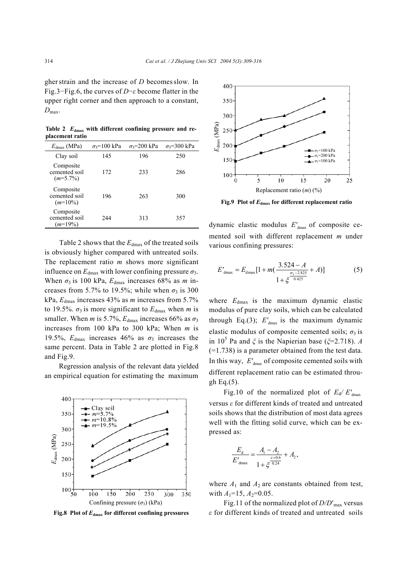gher strain and the increase of *D* becomes slow. In Fig.3−Fig.6, the curves of *D*−*ε* become flatter in the upper right corner and then approach to a constant,  $D_{\text{max}}$ .

Table 2  $E_{\text{dmax}}$  with different confining pressure and re**placement ratio**

| $E_{\text{dmax}}$ (MPa)                   | $\sigma_3$ =100 kPa | $\sigma_3 = 200 \text{ kPa}$ | $\sigma_3 = 300 \text{ kPa}$ |
|-------------------------------------------|---------------------|------------------------------|------------------------------|
| Clay soil                                 | 145                 | 196                          | 250                          |
| Composite<br>cemented soil<br>$(m=5.7\%)$ | 172                 | 233                          | 286                          |
| Composite<br>cemented soil<br>$(m=10\%)$  | 196                 | 263                          | 300                          |
| Composite<br>cemented soil<br>$(m=19\%)$  | 2.44                | 313                          | 357                          |

Table 2 shows that the  $E_{dmax}$  of the treated soils is obviously higher compared with untreated soils. The replacement ratio *m* shows more significant influence on  $E_{\text{dmax}}$  with lower confining pressure  $\sigma_3$ . When  $\sigma_3$  is 100 kPa,  $E_{\text{dmax}}$  increases 68% as *m* increases from 5.7% to 19.5%; while when  $\sigma_3$  is 300 kPa, *E*dmax increases 43% as *m* increases from 5.7% to 19.5%.  $\sigma_3$  is more significant to  $E_{\text{dmax}}$  when *m* is smaller. When *m* is 5.7%,  $E_{\text{dmax}}$  increases 66% as  $\sigma_3$ increases from 100 kPa to 300 kPa; When *m* is 19.5%,  $E_{\text{dmax}}$  increases 46% as  $\sigma_3$  increases the same percent. Data in Table 2 are plotted in Fig.8 and Fig.9.

Regression analysis of the relevant data yielded an empirical equation for estimating the maximum



**Fig.8 Plot of** *E***dmax for different confining pressures** 



**Fig.9 Plot of** *E***dmax for different replacement ratio** 

dynamic elastic modulus  $E'_{dmax}$  of composite cemented soil with different replacement *m* under various confining pressures:

$$
E'_{dmax} = E_{dmax} [1 + m(\frac{3.524 - A}{\frac{\sigma_3 - 2.825}{0.425}} + A)]
$$
 (5)

where  $E_{\text{dmax}}$  is the maximum dynamic elastic modulus of pure clay soils, which can be calculated through Eq.(3);  $E'_{\text{dmax}}$  is the maximum dynamic elastic modulus of composite cemented soils;  $\sigma_3$  is in 10<sup>5</sup> Pa and  $\xi$  is the Napierian base ( $\xi$ =2.718). *A* (=1.738) is a parameter obtained from the test data. In this way,  $E'_{\text{dmax}}$  of composite cemented soils with different replacement ratio can be estimated through Eq.(5).

Fig.10 of the normalized plot of  $E_d/E'_{dmax}$ versus *ε* for different kinds of treated and untreated soils shows that the distribution of most data agrees well with the fitting solid curve, which can be expressed as:

$$
\frac{E_{\rm d}}{E'_{\rm dmax}} = \frac{A_{\rm l} - A_{\rm 2}}{1 + \xi^{\frac{\varepsilon + 0.6}{0.24}}} + A_{\rm 2},
$$

where  $A_1$  and  $A_2$  are constants obtained from test, with  $A_1=15$ ,  $A_2=0.05$ .

Fig.11 of the normalized plot of *D/D*′max versus *ε* for different kinds of treated and untreated soils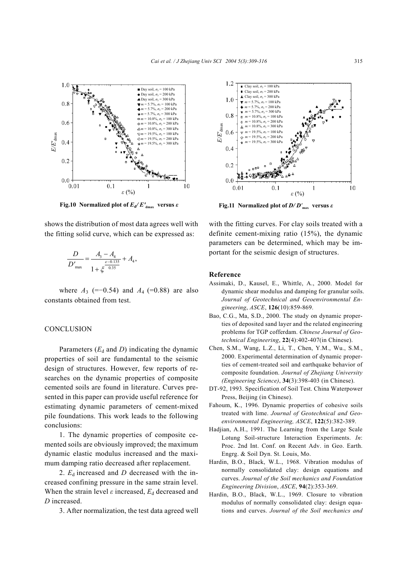

**Fig.10** Normalized plot of  $E_d/E'_{dmax}$  versus  $\varepsilon$ 

shows the distribution of most data agrees well with the fitting solid curve, which can be expressed as:

$$
\frac{D}{D'_{\text{max}}} = \frac{A_3 - A_4}{1 + \xi^{\frac{\varepsilon - 0.135}{0.35}}} + A_4,
$$

where  $A_3$  (=−0.54) and  $A_4$  (=0.88) are also constants obtained from test.

#### CONCLUSION

Parameters  $(E_d$  and *D*) indicating the dynamic properties of soil are fundamental to the seismic design of structures. However, few reports of researches on the dynamic properties of composite cemented soils are found in literature. Curves presented in this paper can provide useful reference for estimating dynamic parameters of cement-mixed pile foundations. This work leads to the following conclusions:

1. The dynamic properties of composite cemented soils are obviously improved; the maximum dynamic elastic modulus increased and the maximum damping ratio decreased after replacement.

2.  $E_d$  increased and *D* decreased with the increased confining pressure in the same strain level. When the strain level  $\varepsilon$  increased,  $E_d$  decreased and *D* increased.

3. After normalization, the test data agreed well



**Fig.11 Normalized plot of** *D/ D'* **max versus** *ε*

with the fitting curves. For clay soils treated with a definite cement-mixing ratio (15%), the dynamic parameters can be determined, which may be important for the seismic design of structures.

#### **Reference**

- Assimaki, D., Kausel, E., Whittle, A., 2000. Model for dynamic shear modulus and damping for granular soils. *Journal of Geotechnical and Geoenvironmental Engineering*, *ASCE*, **126**(10):859-869.
- Bao, C.G., Ma, S.D., 2000. The study on dynamic properties of deposited sand layer and the related engineering problems for TGP cofferdam. *Chinese Journal of Geotechnical Engineering*, **22**(4):402-407(in Chinese).
- Chen, S.M., Wang, L.Z., Li, T., Chen, Y.M., Wu., S.M., 2000. Experimental determination of dynamic properties of cement-treated soil and earthquake behavior of composite foundation. *Journal of Zhejiang University (Engineering Science)*, **34**(3):398-403 (in Chinese).
- DT-92, 1993. Specification of Soil Test. China Waterpower Press, Beijing (in Chinese).
- Fahoum, K., 1996. Dynamic properties of cohesive soils treated with lime. *Journal of Geotechnical and Geoenvironmental Engineering, ASCE*, **122**(5):382-389.
- Hadjian, A.H., 1991. The Learning from the Large Scale Lotung Soil-structure Interaction Experiments. *In*: Proc. 2nd Int. Conf. on Recent Adv. in Geo. Earth. Engrg. & Soil Dyn. St. Louis, Mo.
- Hardin, B.O., Black, W.L., 1968. Vibration modulus of normally consolidated clay: design equations and curves. *Journal of the Soil mechanics and Foundation Engineering Division*, *ASCE*, **94**(2):353-369.
- Hardin, B.O., Black, W.L., 1969. Closure to vibration modulus of normally consolidated clay: design equations and curves. *Journal of the Soil mechanics and*